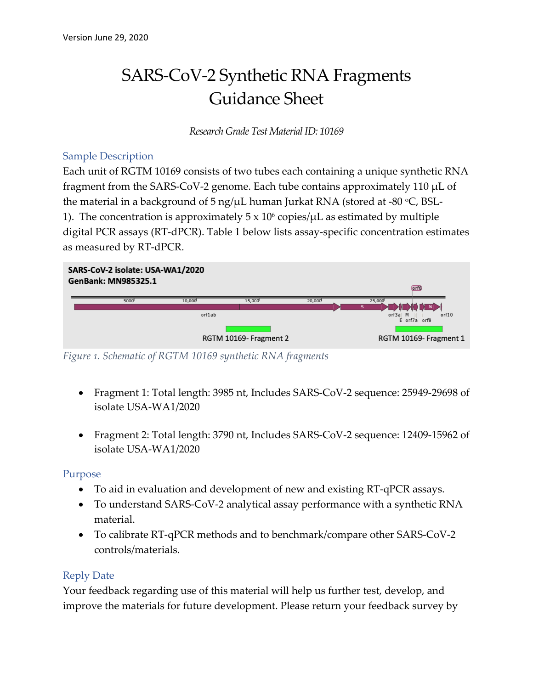# SARS-CoV-2 Synthetic RNA Fragments Guidance Sheet

*Research Grade Test Material ID: 10169* 

#### Sample Description

the material in a background of 5 ng/µL human Jurkat RNA (stored at -80 °C, BSL-1). The concentration is approximately  $5 \times 10^6$  copies/ $\mu$ L as estimated by multiple Each unit of RGTM 10169 consists of two tubes each containing a unique synthetic RNA fragment from the SARS-CoV-2 genome. Each tube contains approximately 110  $\mu$ L of digital PCR assays (RT-dPCR). Table 1 below lists assay-specific concentration estimates as measured by RT-dPCR.



*Figure 1. Schematic of RGTM 10169 synthetic RNA fragments* 

- Fragment 1: Total length: 3985 nt, Includes SARS-CoV-2 sequence: 25949-29698 of isolate USA-WA1/2020
- Fragment 2: Total length: 3790 nt, Includes SARS-CoV-2 sequence: 12409-15962 of isolate USA-WA1/2020

### Purpose

- To aid in evaluation and development of new and existing RT-qPCR assays.
- To understand SARS-CoV-2 analytical assay performance with a synthetic RNA material.
- To calibrate RT-qPCR methods and to benchmark/compare other SARS-CoV-2 controls/materials.

### Reply Date

 improve the materials for future development. Please return your feedback survey by Your feedback regarding use of this material will help us further test, develop, and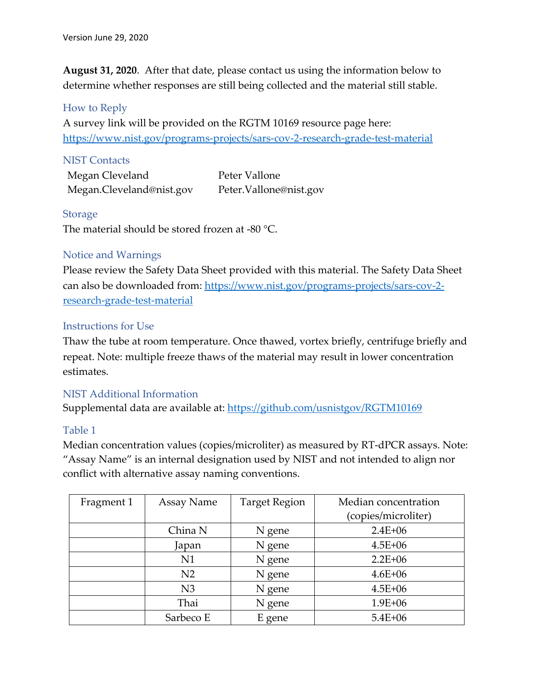determine whether responses are still being collected and the material still stable.<br>How to Reply **August 31, 2020**. After that date, please contact us using the information below to

A survey link will be provided on the RGTM 10169 resource page here: <https://www.nist.gov/programs-projects/sars-cov-2-research-grade-test-material>

#### **NIST Contacts**

Megan Cleveland Peter Vallone Megan.Cleveland@nist.gov Peter.Vallone@nist.gov

Storage<br>The material should be stored frozen at -80 °C.

#### Notice and Warnings

Please review the Safety Data Sheet provided with this material. The Safety Data Sheet can also be downloaded from:<https://www.nist.gov/programs-projects/sars-cov-2> research-grade-test-material

#### Instructions for Use

Thaw the tube at room temperature. Once thawed, vortex briefly, centrifuge briefly and repeat. Note: multiple freeze thaws of the material may result in lower concentration estimates.

#### NIST Additional Information

Supplemental data are available at:<https://github.com/usnistgov/RGTM10169>

### Table 1

 Median concentration values (copies/microliter) as measured by RT-dPCR assays. Note: "Assay Name" is an internal designation used by NIST and not intended to align nor conflict with alternative assay naming conventions.

| Fragment 1 | Assay Name     | <b>Target Region</b> | Median concentration |
|------------|----------------|----------------------|----------------------|
|            |                |                      | (copies/microliter)  |
|            | China N        | N gene               | $2.4E + 06$          |
|            | Japan          | N gene               | $4.5E + 06$          |
|            | N1             | N gene               | $2.2E + 06$          |
|            | N <sub>2</sub> | N gene               | $4.6E + 06$          |
|            | N <sub>3</sub> | N gene               | $4.5E + 06$          |
|            | Thai           | N gene               | $1.9E + 06$          |
|            | Sarbeco E      | E gene               | $5.4E + 06$          |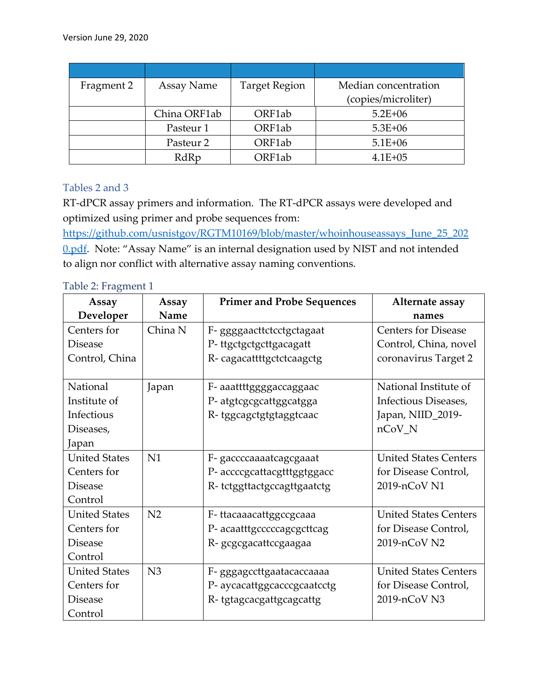| Fragment 2 | Assay Name   | <b>Target Region</b> | Median concentration |
|------------|--------------|----------------------|----------------------|
|            |              |                      | (copies/microliter)  |
|            | China ORF1ab | ORF1ab               | $5.2E + 06$          |
|            | Pasteur 1    | ORF1ab               | $5.3E + 06$          |
|            | Pasteur 2    | ORF1ab               | $5.1E + 06$          |
|            | RdRp         | ORF1ab               | $4.1E + 05$          |

#### Tables 2 and 3

 RT-dPCR assay primers and information. The RT-dPCR assays were developed and optimized using primer and probe sequences from:

0.pdf. Note: "Assay Name" is an internal designation used by NIST and not intended to align nor conflict with alternative assay naming conventions. [https://github.com/usnistgov/RGTM10169/blob/master/whoinhouseassays\\_June\\_25\\_202](https://github.com/usnistgov/RGTM10169/blob/master/whoinhouseassays_June_25_202)

Table 2: Fragment 1

| Assay                | Assay          | <b>Primer and Probe Sequences</b> | Alternate assay              |
|----------------------|----------------|-----------------------------------|------------------------------|
| Developer            | Name           |                                   | names                        |
| Centers for          | China N        | F- ggggaacttctcctgctagaat         | <b>Centers for Disease</b>   |
| <b>Disease</b>       |                | P-ttgctgctgcttgacagatt            | Control, China, novel        |
| Control, China       |                | R-cagacattttgctctcaagctg          | coronavirus Target 2         |
| National             | Japan          | F- aaattttggggaccaggaac           | National Institute of        |
| Institute of         |                | P- atgtcgcgcattggcatgga           | Infectious Diseases,         |
| Infectious           |                | R-tggcagctgtgtaggtcaac            | Japan, NIID_2019-            |
| Diseases,            |                |                                   | $nCoV_N$                     |
| Japan                |                |                                   |                              |
| <b>United States</b> | N1             | F- gaccccaaaatcagcgaaat           | <b>United States Centers</b> |
| Centers for          |                | P- accccgcattacgtttggtggacc       | for Disease Control,         |
| <b>Disease</b>       |                | R-tctggttactgccagttgaatctg        | 2019-nCoV N1                 |
| Control              |                |                                   |                              |
| <b>United States</b> | N <sub>2</sub> | F-ttacaaacattggccgcaaa            | <b>United States Centers</b> |
| Centers for          |                | P- acaatttgcccccagcgcttcag        | for Disease Control,         |
| <b>Disease</b>       |                | R- gcgcgacattccgaagaa             | 2019-nCoV N2                 |
| Control              |                |                                   |                              |
| <b>United States</b> | N <sub>3</sub> | F- gggagccttgaatacaccaaaa         | <b>United States Centers</b> |
| Centers for          |                | P- aycacattggcacccgcaatcctg       | for Disease Control,         |
| <b>Disease</b>       |                | R-tgtagcacgattgcagcattg           | 2019-nCoV N3                 |
| Control              |                |                                   |                              |